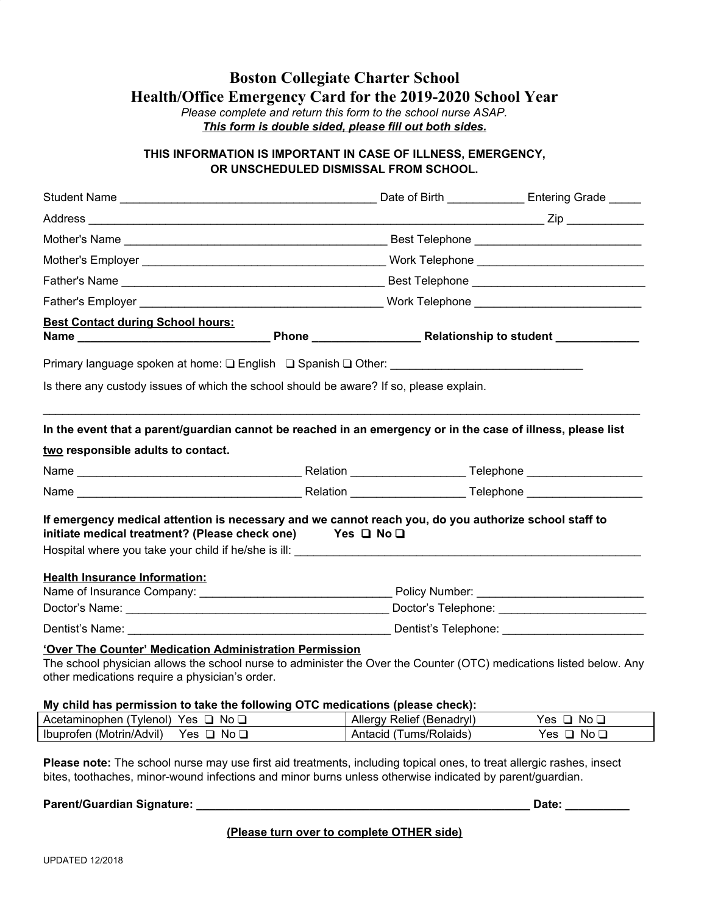# **Boston Collegiate Charter School Health/Office Emergency Card for the 2019-2020 School Year**

*Please complete and return this form to the school nurse ASAP. This form is double sided, please fill out both sides.*

### **THIS INFORMATION IS IMPORTANT IN CASE OF ILLNESS, EMERGENCY, OR UNSCHEDULED DISMISSAL FROM SCHOOL.**

|                                                                                                                                                                                                                                                                  |  |                                                        | Date of Birth <b>Entering Grade</b> |  |  |
|------------------------------------------------------------------------------------------------------------------------------------------------------------------------------------------------------------------------------------------------------------------|--|--------------------------------------------------------|-------------------------------------|--|--|
|                                                                                                                                                                                                                                                                  |  |                                                        |                                     |  |  |
|                                                                                                                                                                                                                                                                  |  |                                                        |                                     |  |  |
|                                                                                                                                                                                                                                                                  |  |                                                        |                                     |  |  |
|                                                                                                                                                                                                                                                                  |  |                                                        |                                     |  |  |
|                                                                                                                                                                                                                                                                  |  |                                                        |                                     |  |  |
| <b>Best Contact during School hours:</b>                                                                                                                                                                                                                         |  |                                                        |                                     |  |  |
| Primary language spoken at home: □ English □ Spanish □ Other: __________________________                                                                                                                                                                         |  |                                                        |                                     |  |  |
| Is there any custody issues of which the school should be aware? If so, please explain.                                                                                                                                                                          |  |                                                        |                                     |  |  |
| In the event that a parent/guardian cannot be reached in an emergency or in the case of illness, please list<br>two responsible adults to contact.                                                                                                               |  |                                                        |                                     |  |  |
|                                                                                                                                                                                                                                                                  |  |                                                        |                                     |  |  |
|                                                                                                                                                                                                                                                                  |  |                                                        |                                     |  |  |
| If emergency medical attention is necessary and we cannot reach you, do you authorize school staff to<br>initiate medical treatment? (Please check one) Yes $\Box$ No $\Box$<br>Hospital where you take your child if he/she is ill: ___________________________ |  |                                                        |                                     |  |  |
| <b>Health Insurance Information:</b>                                                                                                                                                                                                                             |  |                                                        |                                     |  |  |
|                                                                                                                                                                                                                                                                  |  |                                                        |                                     |  |  |
|                                                                                                                                                                                                                                                                  |  | Doctor's Name: Doctor's Telephone: Doctor's Telephone: |                                     |  |  |
|                                                                                                                                                                                                                                                                  |  |                                                        |                                     |  |  |
| 'Over The Counter' Medication Administration Permission<br>The school physician allows the school nurse to administer the Over the Counter (OTC) medications listed below. Any<br>other medications require a physician's order.                                 |  |                                                        |                                     |  |  |
| My child has permission to take the following OTC medications (please check):<br>Acetaminophen (Tylenol) Yes □ No □                                                                                                                                              |  | Allergy Relief (Benadryl)                              | Yes $\Box$ No $\Box$                |  |  |
| Ibuprofen (Motrin/Advil) Yes □ No □                                                                                                                                                                                                                              |  | Antacid (Tums/Rolaids)                                 | Yes $\Box$ No $\Box$                |  |  |
|                                                                                                                                                                                                                                                                  |  |                                                        |                                     |  |  |

**Please note:** The school nurse may use first aid treatments, including topical ones, to treat allergic rashes, insect bites, toothaches, minor-wound infections and minor burns unless otherwise indicated by parent/guardian.

## **Parent/Guardian Signature: \_\_\_\_\_\_\_\_\_\_\_\_\_\_\_\_\_\_\_\_\_\_\_\_\_\_\_\_\_\_\_\_\_\_\_\_\_\_\_\_\_\_\_\_\_\_\_\_\_\_\_\_ Date: \_\_\_\_\_\_\_\_\_\_**

**(Please turn over to complete OTHER side)**